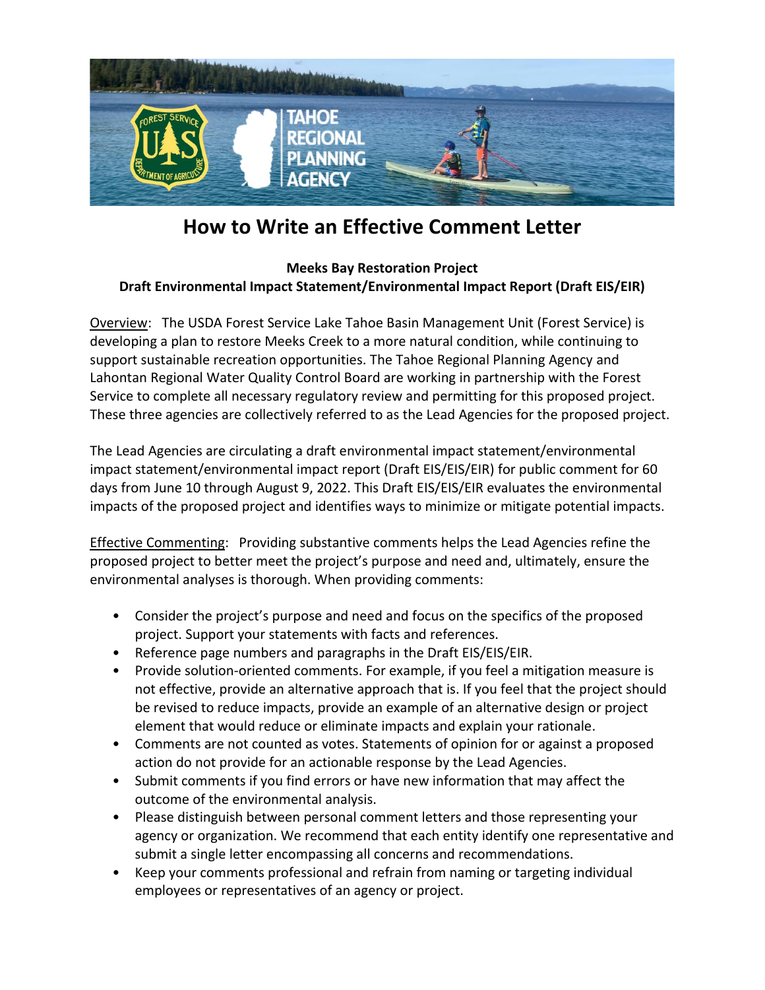

## **How to Write an Effective Comment Letter**

## **Meeks Bay Restoration Project Draft Environmental Impact Statement/Environmental Impact Report (Draft EIS/EIR)**

Overview: The USDA Forest Service Lake Tahoe Basin Management Unit (Forest Service) is developing a plan to restore Meeks Creek to a more natural condition, while continuing to support sustainable recreation opportunities. The Tahoe Regional Planning Agency and Lahontan Regional Water Quality Control Board are working in partnership with the Forest Service to complete all necessary regulatory review and permitting for this proposed project. These three agencies are collectively referred to as the Lead Agencies for the proposed project.

The Lead Agencies are circulating a draft environmental impact statement/environmental impact statement/environmental impact report (Draft EIS/EIS/EIR) for public comment for 60 days from June 10 through August 9, 2022. This Draft EIS/EIS/EIR evaluates the environmental impacts of the proposed project and identifies ways to minimize or mitigate potential impacts.

Effective Commenting: Providing substantive comments helps the Lead Agencies refine the proposed project to better meet the project's purpose and need and, ultimately, ensure the environmental analyses is thorough. When providing comments:

- Consider the project's purpose and need and focus on the specifics of the proposed project. Support your statements with facts and references.
- Reference page numbers and paragraphs in the Draft EIS/EIS/EIR.
- Provide solution-oriented comments. For example, if you feel a mitigation measure is not effective, provide an alternative approach that is. If you feel that the project should be revised to reduce impacts, provide an example of an alternative design or project element that would reduce or eliminate impacts and explain your rationale.
- Comments are not counted as votes. Statements of opinion for or against a proposed action do not provide for an actionable response by the Lead Agencies.
- Submit comments if you find errors or have new information that may affect the outcome of the environmental analysis.
- Please distinguish between personal comment letters and those representing your agency or organization. We recommend that each entity identify one representative and submit a single letter encompassing all concerns and recommendations.
- Keep your comments professional and refrain from naming or targeting individual employees or representatives of an agency or project.